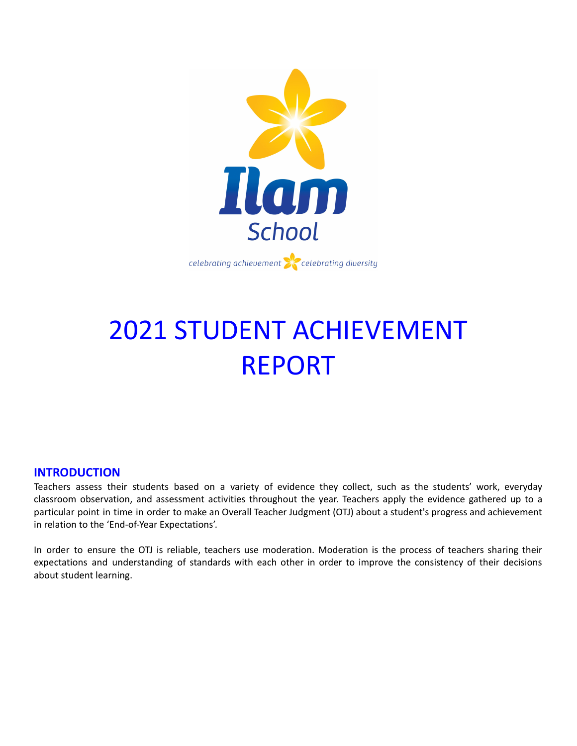

# 2021 STUDENT ACHIEVEMENT REPORT

# **INTRODUCTION**

Teachers assess their students based on a variety of evidence they collect, such as the students' work, everyday classroom observation, and assessment activities throughout the year. Teachers apply the evidence gathered up to a particular point in time in order to make an Overall Teacher Judgment (OTJ) about a student's progress and achievement in relation to the 'End-of-Year Expectations'.

In order to ensure the OTJ is reliable, teachers use moderation. Moderation is the process of teachers sharing their expectations and understanding of standards with each other in order to improve the consistency of their decisions about student learning.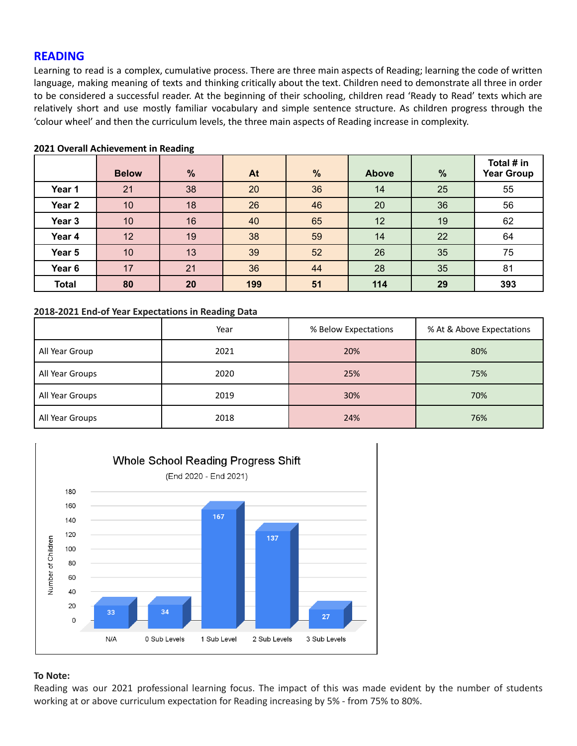# **READING**

Learning to read is a complex, cumulative process. There are three main aspects of Reading; learning the code of written language, making meaning of texts and thinking critically about the text. Children need to demonstrate all three in order to be considered a successful reader. At the beginning of their schooling, children read 'Ready to Read' texts which are relatively short and use mostly familiar vocabulary and simple sentence structure. As children progress through the 'colour wheel' and then the curriculum levels, the three main aspects of Reading increase in complexity.

|                   | <b>Below</b> | $\frac{9}{6}$ | At  | $\frac{9}{6}$ | <b>Above</b> | $\frac{9}{6}$ | Total # in<br><b>Year Group</b> |
|-------------------|--------------|---------------|-----|---------------|--------------|---------------|---------------------------------|
| Year 1            | 21           | 38            | 20  | 36            | 14           | 25            | 55                              |
| Year <sub>2</sub> | 10           | 18            | 26  | 46            | 20           | 36            | 56                              |
| Year 3            | 10           | 16            | 40  | 65            | 12           | 19            | 62                              |
| Year 4            | 12           | 19            | 38  | 59            | 14           | 22            | 64                              |
| Year 5            | 10           | 13            | 39  | 52            | 26           | 35            | 75                              |
| Year 6            | 17           | 21            | 36  | 44            | 28           | 35            | 81                              |
| <b>Total</b>      | 80           | 20            | 199 | 51            | 114          | 29            | 393                             |

#### **2021 Overall Achievement in Reading**

#### **2018-2021 End-of Year Expectations in Reading Data**

|                 | Year | % Below Expectations | % At & Above Expectations |
|-----------------|------|----------------------|---------------------------|
| All Year Group  | 2021 | 20%                  | 80%                       |
| All Year Groups | 2020 | 25%                  | 75%                       |
| All Year Groups | 2019 | 30%                  | 70%                       |
| All Year Groups | 2018 | 24%                  | 76%                       |



#### **To Note:**

Reading was our 2021 professional learning focus. The impact of this was made evident by the number of students working at or above curriculum expectation for Reading increasing by 5% - from 75% to 80%.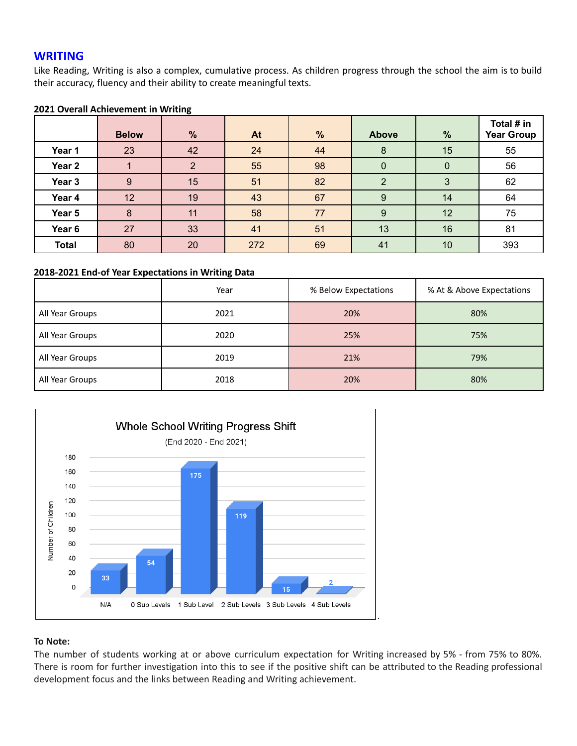# **WRITING**

Like Reading, Writing is also a complex, cumulative process. As children progress through the school the aim is to build their accuracy, fluency and their ability to create meaningful texts.

#### **2021 Overall Achievement in Writing**

|                   | <b>Below</b> | $\frac{9}{6}$ | At  | $\frac{9}{6}$ | <b>Above</b> | $\%$             | Total # in<br><b>Year Group</b> |
|-------------------|--------------|---------------|-----|---------------|--------------|------------------|---------------------------------|
| Year 1            | 23           | 42            | 24  | 44            | 8            | 15               | 55                              |
| Year <sub>2</sub> |              | C             | 55  | 98            | $\mathbf 0$  | $\boldsymbol{0}$ | 56                              |
| Year 3            | 9            | 15            | 51  | 82            |              | 3                | 62                              |
| Year 4            | 12           | 19            | 43  | 67            | 9            | 14               | 64                              |
| Year 5            | 8            | 11            | 58  | 77            | 9            | 12               | 75                              |
| Year <sub>6</sub> | 27           | 33            | 41  | 51            | 13           | 16               | 81                              |
| <b>Total</b>      | 80           | 20            | 272 | 69            | 41           | 10               | 393                             |

#### **2018-2021 End-of Year Expectations in Writing Data**

|                 | Year | % Below Expectations | % At & Above Expectations |
|-----------------|------|----------------------|---------------------------|
| All Year Groups | 2021 | 20%                  | 80%                       |
| All Year Groups | 2020 | 25%                  | 75%                       |
| All Year Groups | 2019 | 21%                  | 79%                       |
| All Year Groups | 2018 | 20%                  | 80%                       |



#### **To Note:**

The number of students working at or above curriculum expectation for Writing increased by 5% - from 75% to 80%. There is room for further investigation into this to see if the positive shift can be attributed to the Reading professional development focus and the links between Reading and Writing achievement.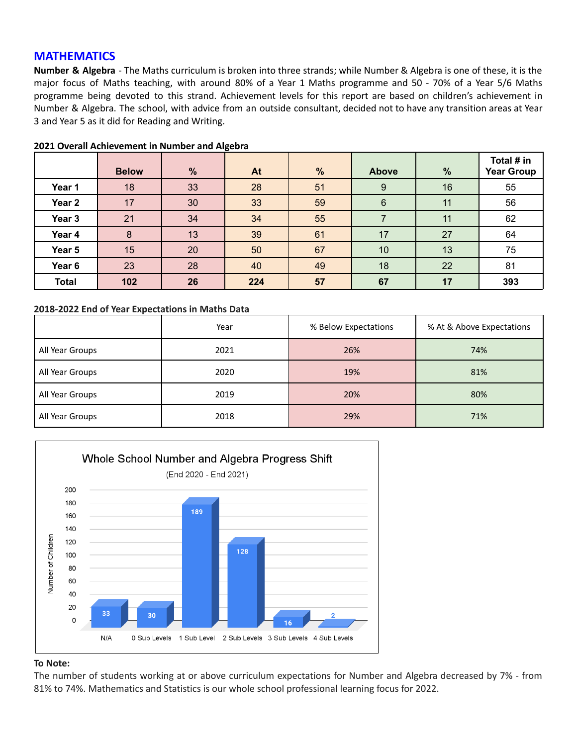# **MATHEMATICS**

**Number & Algebra** - The Maths curriculum is broken into three strands; while Number & Algebra is one of these, it is the major focus of Maths teaching, with around 80% of a Year 1 Maths programme and 50 - 70% of a Year 5/6 Maths programme being devoted to this strand. Achievement levels for this report are based on children's achievement in Number & Algebra. The school, with advice from an outside consultant, decided not to have any transition areas at Year 3 and Year 5 as it did for Reading and Writing.

|                   | <b>Below</b> | $\frac{9}{6}$ | At  | $\%$ | Above | %  | Total # in<br><b>Year Group</b> |
|-------------------|--------------|---------------|-----|------|-------|----|---------------------------------|
| Year 1            | 18           | 33            | 28  | 51   | 9     | 16 | 55                              |
| Year <sub>2</sub> | 17           | 30            | 33  | 59   | 6     | 11 | 56                              |
| Year <sub>3</sub> | 21           | 34            | 34  | 55   |       | 11 | 62                              |
| Year 4            | 8            | 13            | 39  | 61   | 17    | 27 | 64                              |
| Year 5            | 15           | 20            | 50  | 67   | 10    | 13 | 75                              |
| Year 6            | 23           | 28            | 40  | 49   | 18    | 22 | 81                              |
| <b>Total</b>      | 102          | 26            | 224 | 57   | 67    | 17 | 393                             |

#### **2021 Overall Achievement in Number and Algebra**

#### **2018-2022 End of Year Expectations in Maths Data**

|                 | Year | % Below Expectations | % At & Above Expectations |
|-----------------|------|----------------------|---------------------------|
| All Year Groups | 2021 | 26%                  | 74%                       |
| All Year Groups | 2020 | 19%                  | 81%                       |
| All Year Groups | 2019 | 20%                  | 80%                       |
| All Year Groups | 2018 | 29%                  | 71%                       |



#### **To Note:**

The number of students working at or above curriculum expectations for Number and Algebra decreased by 7% - from 81% to 74%. Mathematics and Statistics is our whole school professional learning focus for 2022.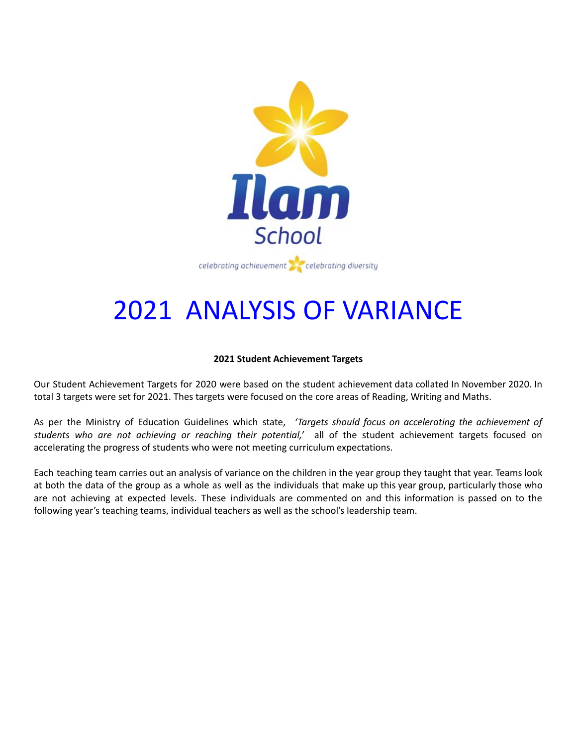

# 2021 ANALYSIS OF VARIANCE

# **2021 Student Achievement Targets**

Our Student Achievement Targets for 2020 were based on the student achievement data collated In November 2020. In total 3 targets were set for 2021. Thes targets were focused on the core areas of Reading, Writing and Maths.

As per the Ministry of Education Guidelines which state, *'Targets should focus on accelerating the achievement of students who are not achieving or reaching their potential,'* all of the student achievement targets focused on accelerating the progress of students who were not meeting curriculum expectations.

Each teaching team carries out an analysis of variance on the children in the year group they taught that year. Teams look at both the data of the group as a whole as well as the individuals that make up this year group, particularly those who are not achieving at expected levels. These individuals are commented on and this information is passed on to the following year's teaching teams, individual teachers as well as the school's leadership team.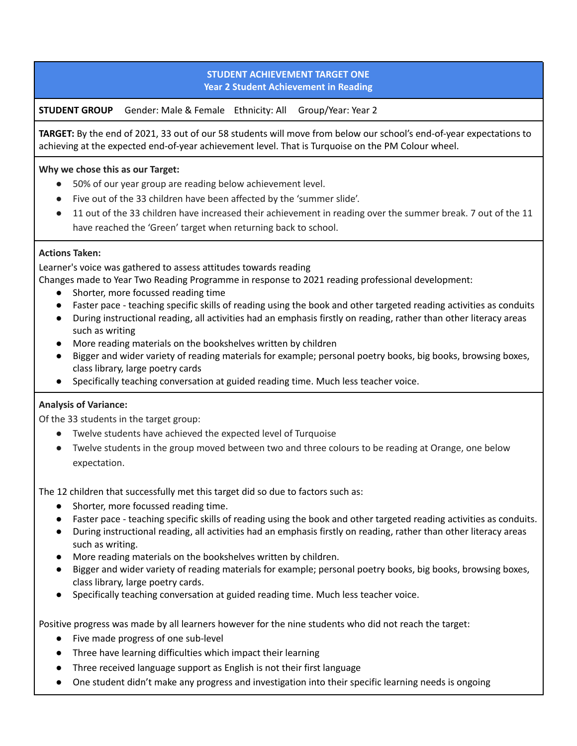# **STUDENT ACHIEVEMENT TARGET ONE Year 2 Student Achievement in Reading**

**STUDENT GROUP** Gender: Male & Female Ethnicity: All Group/Year: Year 2

**TARGET:** By the end of 2021, 33 out of our 58 students will move from below our school's end-of-year expectations to achieving at the expected end-of-year achievement level. That is Turquoise on the PM Colour wheel.

# **Why we chose this as our Target:**

- 50% of our year group are reading below achievement level.
- Five out of the 33 children have been affected by the 'summer slide'.
- 11 out of the 33 children have increased their achievement in reading over the summer break. 7 out of the 11 have reached the 'Green' target when returning back to school.

# **Actions Taken:**

Learner's voice was gathered to assess attitudes towards reading

Changes made to Year Two Reading Programme in response to 2021 reading professional development:

- Shorter, more focussed reading time
- Faster pace teaching specific skills of reading using the book and other targeted reading activities as conduits
- During instructional reading, all activities had an emphasis firstly on reading, rather than other literacy areas such as writing
- More reading materials on the bookshelves written by children
- Bigger and wider variety of reading materials for example; personal poetry books, big books, browsing boxes, class library, large poetry cards
- Specifically teaching conversation at guided reading time. Much less teacher voice.

# **Analysis of Variance:**

Of the 33 students in the target group:

- Twelve students have achieved the expected level of Turquoise
- Twelve students in the group moved between two and three colours to be reading at Orange, one below expectation.

The 12 children that successfully met this target did so due to factors such as:

- Shorter, more focussed reading time.
- Faster pace teaching specific skills of reading using the book and other targeted reading activities as conduits.
- During instructional reading, all activities had an emphasis firstly on reading, rather than other literacy areas such as writing.
- More reading materials on the bookshelves written by children.
- Bigger and wider variety of reading materials for example; personal poetry books, big books, browsing boxes, class library, large poetry cards.
- Specifically teaching conversation at guided reading time. Much less teacher voice.

Positive progress was made by all learners however for the nine students who did not reach the target:

- Five made progress of one sub-level
- Three have learning difficulties which impact their learning
- Three received language support as English is not their first language
- One student didn't make any progress and investigation into their specific learning needs is ongoing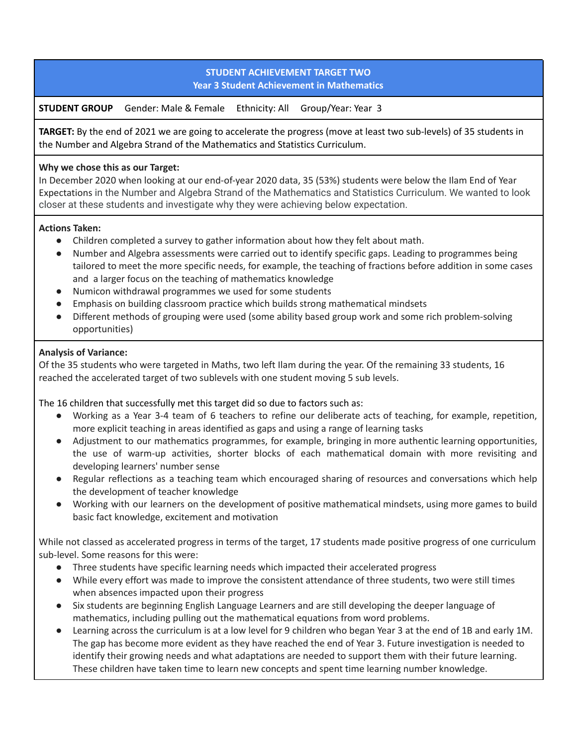# **STUDENT ACHIEVEMENT TARGET TWO Year 3 Student Achievement in Mathematics**

**STUDENT GROUP** Gender: Male & Female Ethnicity: All Group/Year: Year 3

**TARGET:** By the end of 2021 we are going to accelerate the progress (move at least two sub-levels) of 35 students in the Number and Algebra Strand of the Mathematics and Statistics Curriculum.

# **Why we chose this as our Target:**

In December 2020 when looking at our end-of-year 2020 data, 35 (53%) students were below the Ilam End of Year Expectations in the Number and Algebra Strand of the Mathematics and Statistics Curriculum. We wanted to look closer at these students and investigate why they were achieving below expectation.

# **Actions Taken:**

- Children completed a survey to gather information about how they felt about math.
- Number and Algebra assessments were carried out to identify specific gaps. Leading to programmes being tailored to meet the more specific needs, for example, the teaching of fractions before addition in some cases and a larger focus on the teaching of mathematics knowledge
- Numicon withdrawal programmes we used for some students
- Emphasis on building classroom practice which builds strong mathematical mindsets
- Different methods of grouping were used (some ability based group work and some rich problem-solving opportunities)

# **Analysis of Variance:**

Of the 35 students who were targeted in Maths, two left Ilam during the year. Of the remaining 33 students, 16 reached the accelerated target of two sublevels with one student moving 5 sub levels.

The 16 children that successfully met this target did so due to factors such as:

- Working as a Year 3-4 team of 6 teachers to refine our deliberate acts of teaching, for example, repetition, more explicit teaching in areas identified as gaps and using a range of learning tasks
- Adjustment to our mathematics programmes, for example, bringing in more authentic learning opportunities, the use of warm-up activities, shorter blocks of each mathematical domain with more revisiting and developing learners' number sense
- Regular reflections as a teaching team which encouraged sharing of resources and conversations which help the development of teacher knowledge
- Working with our learners on the development of positive mathematical mindsets, using more games to build basic fact knowledge, excitement and motivation

While not classed as accelerated progress in terms of the target, 17 students made positive progress of one curriculum sub-level. Some reasons for this were:

- Three students have specific learning needs which impacted their accelerated progress
- While every effort was made to improve the consistent attendance of three students, two were still times when absences impacted upon their progress
- Six students are beginning English Language Learners and are still developing the deeper language of mathematics, including pulling out the mathematical equations from word problems.
- Learning across the curriculum is at a low level for 9 children who began Year 3 at the end of 1B and early 1M. The gap has become more evident as they have reached the end of Year 3. Future investigation is needed to identify their growing needs and what adaptations are needed to support them with their future learning. These children have taken time to learn new concepts and spent time learning number knowledge.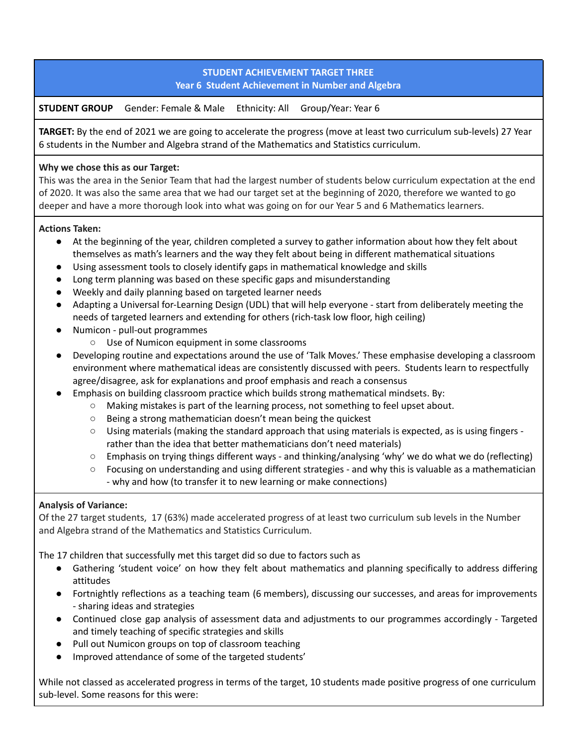# **STUDENT ACHIEVEMENT TARGET THREE Year 6 Student Achievement in Number and Algebra**

**STUDENT GROUP** Gender: Female & Male Ethnicity: All Group/Year: Year 6

**TARGET:** By the end of 2021 we are going to accelerate the progress (move at least two curriculum sub-levels) 27 Year 6 students in the Number and Algebra strand of the Mathematics and Statistics curriculum.

# **Why we chose this as our Target:**

This was the area in the Senior Team that had the largest number of students below curriculum expectation at the end of 2020. It was also the same area that we had our target set at the beginning of 2020, therefore we wanted to go deeper and have a more thorough look into what was going on for our Year 5 and 6 Mathematics learners.

# **Actions Taken:**

- At the beginning of the year, children completed a survey to gather information about how they felt about themselves as math's learners and the way they felt about being in different mathematical situations
- Using assessment tools to closely identify gaps in mathematical knowledge and skills
- Long term planning was based on these specific gaps and misunderstanding
- Weekly and daily planning based on targeted learner needs
- Adapting a Universal for-Learning Design (UDL) that will help everyone start from deliberately meeting the needs of targeted learners and extending for others (rich-task low floor, high ceiling)
- Numicon pull-out programmes
	- Use of Numicon equipment in some classrooms
- Developing routine and expectations around the use of 'Talk Moves.' These emphasise developing a classroom environment where mathematical ideas are consistently discussed with peers. Students learn to respectfully agree/disagree, ask for explanations and proof emphasis and reach a consensus
- Emphasis on building classroom practice which builds strong mathematical mindsets. By:
	- Making mistakes is part of the learning process, not something to feel upset about.
	- Being a strong mathematician doesn't mean being the quickest
	- $\circ$  Using materials (making the standard approach that using materials is expected, as is using fingers rather than the idea that better mathematicians don't need materials)
	- $\circ$  Emphasis on trying things different ways and thinking/analysing 'why' we do what we do (reflecting)
	- $\circ$  Focusing on understanding and using different strategies and why this is valuable as a mathematician - why and how (to transfer it to new learning or make connections)

# **Analysis of Variance:**

Of the 27 target students, 17 (63%) made accelerated progress of at least two curriculum sub levels in the Number and Algebra strand of the Mathematics and Statistics Curriculum.

The 17 children that successfully met this target did so due to factors such as

- Gathering 'student voice' on how they felt about mathematics and planning specifically to address differing attitudes
- Fortnightly reflections as a teaching team (6 members), discussing our successes, and areas for improvements - sharing ideas and strategies
- Continued close gap analysis of assessment data and adjustments to our programmes accordingly Targeted and timely teaching of specific strategies and skills
- Pull out Numicon groups on top of classroom teaching
- Improved attendance of some of the targeted students'

While not classed as accelerated progress in terms of the target, 10 students made positive progress of one curriculum sub-level. Some reasons for this were: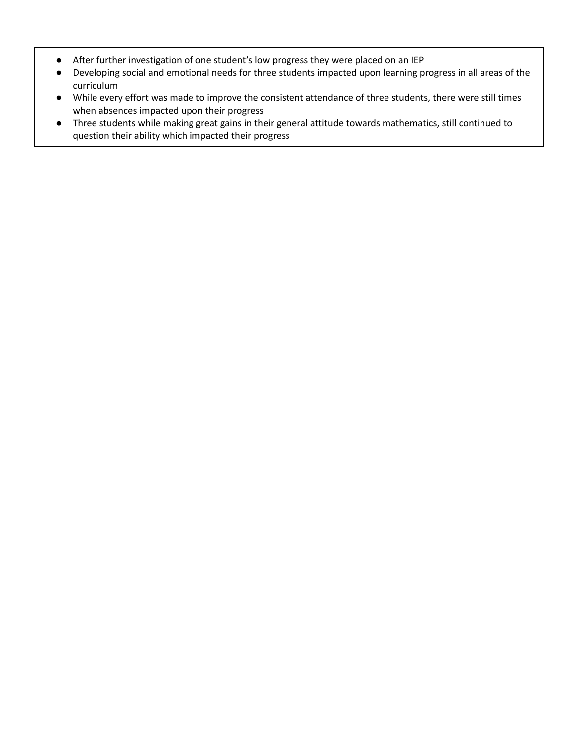- After further investigation of one student's low progress they were placed on an IEP
- Developing social and emotional needs for three students impacted upon learning progress in all areas of the curriculum
- While every effort was made to improve the consistent attendance of three students, there were still times when absences impacted upon their progress
- Three students while making great gains in their general attitude towards mathematics, still continued to question their ability which impacted their progress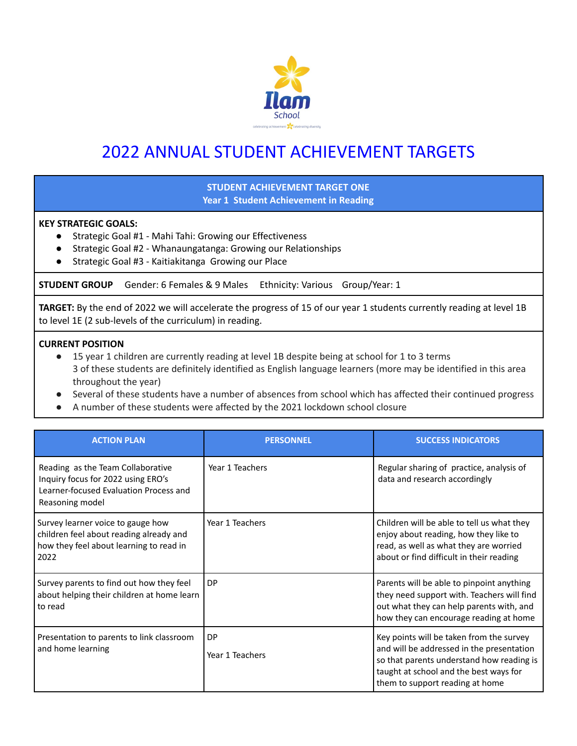

# 2022 ANNUAL STUDENT ACHIEVEMENT TARGETS

# **STUDENT ACHIEVEMENT TARGET ONE Year 1 Student Achievement in Reading**

#### **KEY STRATEGIC GOALS:**

- Strategic Goal #1 Mahi Tahi: Growing our Effectiveness
- Strategic Goal #2 Whanaungatanga: Growing our Relationships
- Strategic Goal #3 Kaitiakitanga Growing our Place

**STUDENT GROUP** Gender: 6 Females & 9 Males Ethnicity: Various Group/Year: 1

**TARGET:** By the end of 2022 we will accelerate the progress of 15 of our year 1 students currently reading at level 1B to level 1E (2 sub-levels of the curriculum) in reading.

#### **CURRENT POSITION**

- 15 year 1 children are currently reading at level 1B despite being at school for 1 to 3 terms 3 of these students are definitely identified as English language learners (more may be identified in this area throughout the year)
- Several of these students have a number of absences from school which has affected their continued progress
- A number of these students were affected by the 2021 lockdown school closure

| <b>ACTION PLAN</b>                                                                                                                   | <b>PERSONNEL</b>             | <b>SUCCESS INDICATORS</b>                                                                                                                                                                                       |
|--------------------------------------------------------------------------------------------------------------------------------------|------------------------------|-----------------------------------------------------------------------------------------------------------------------------------------------------------------------------------------------------------------|
| Reading as the Team Collaborative<br>Inquiry focus for 2022 using ERO's<br>Learner-focused Evaluation Process and<br>Reasoning model | Year 1 Teachers              | Regular sharing of practice, analysis of<br>data and research accordingly                                                                                                                                       |
| Survey learner voice to gauge how<br>children feel about reading already and<br>how they feel about learning to read in<br>2022      | Year 1 Teachers              | Children will be able to tell us what they<br>enjoy about reading, how they like to<br>read, as well as what they are worried<br>about or find difficult in their reading                                       |
| Survey parents to find out how they feel<br>about helping their children at home learn<br>to read                                    | DP                           | Parents will be able to pinpoint anything<br>they need support with. Teachers will find<br>out what they can help parents with, and<br>how they can encourage reading at home                                   |
| Presentation to parents to link classroom<br>and home learning                                                                       | <b>DP</b><br>Year 1 Teachers | Key points will be taken from the survey<br>and will be addressed in the presentation<br>so that parents understand how reading is<br>taught at school and the best ways for<br>them to support reading at home |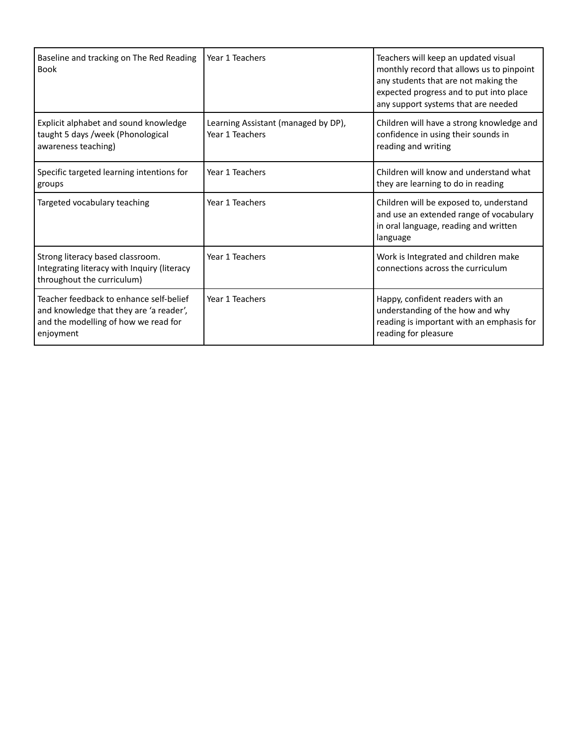| Baseline and tracking on The Red Reading<br><b>Book</b>                                                                                 | Year 1 Teachers                                        | Teachers will keep an updated visual<br>monthly record that allows us to pinpoint<br>any students that are not making the<br>expected progress and to put into place<br>any support systems that are needed |
|-----------------------------------------------------------------------------------------------------------------------------------------|--------------------------------------------------------|-------------------------------------------------------------------------------------------------------------------------------------------------------------------------------------------------------------|
| Explicit alphabet and sound knowledge<br>taught 5 days /week (Phonological<br>awareness teaching)                                       | Learning Assistant (managed by DP),<br>Year 1 Teachers | Children will have a strong knowledge and<br>confidence in using their sounds in<br>reading and writing                                                                                                     |
| Specific targeted learning intentions for<br>groups                                                                                     | Year 1 Teachers                                        | Children will know and understand what<br>they are learning to do in reading                                                                                                                                |
| Targeted vocabulary teaching                                                                                                            | Year 1 Teachers                                        | Children will be exposed to, understand<br>and use an extended range of vocabulary<br>in oral language, reading and written<br>language                                                                     |
| Strong literacy based classroom.<br>Integrating literacy with Inquiry (literacy<br>throughout the curriculum)                           | Year 1 Teachers                                        | Work is Integrated and children make<br>connections across the curriculum                                                                                                                                   |
| Teacher feedback to enhance self-belief<br>and knowledge that they are 'a reader',<br>and the modelling of how we read for<br>enjoyment | Year 1 Teachers                                        | Happy, confident readers with an<br>understanding of the how and why<br>reading is important with an emphasis for<br>reading for pleasure                                                                   |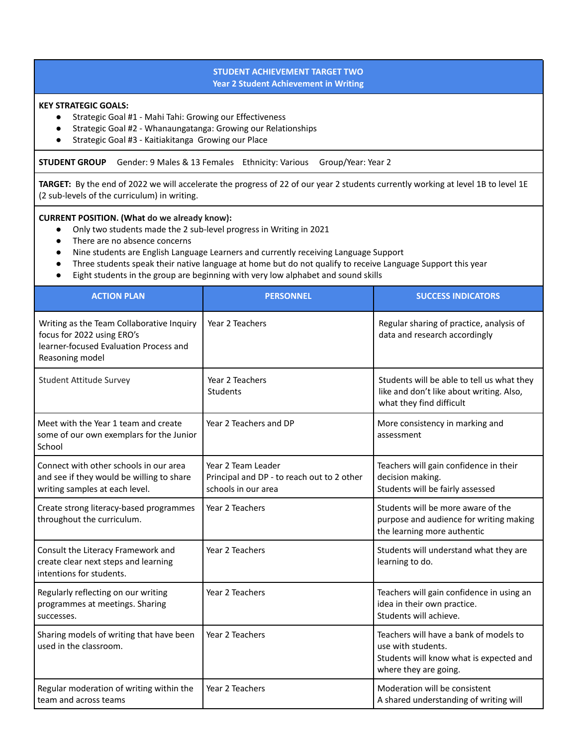#### **STUDENT ACHIEVEMENT TARGET TWO Year 2 Student Achievement in Writing**

#### **KEY STRATEGIC GOALS:**

- Strategic Goal #1 Mahi Tahi: Growing our Effectiveness
- Strategic Goal #2 Whanaungatanga: Growing our Relationships
- Strategic Goal #3 Kaitiakitanga Growing our Place

**STUDENT GROUP** Gender: 9 Males & 13 Females Ethnicity: Various Group/Year: Year 2

**TARGET:** By the end of 2022 we will accelerate the progress of 22 of our year 2 students currently working at level 1B to level 1E (2 sub-levels of the curriculum) in writing.

#### **CURRENT POSITION. (What do we already know):**

- Only two students made the 2 sub-level progress in Writing in 2021
- There are no absence concerns
- Nine students are English Language Learners and currently receiving Language Support
- Three students speak their native language at home but do not qualify to receive Language Support this year
- Eight students in the group are beginning with very low alphabet and sound skills

| <b>ACTION PLAN</b>                                                                                                                   | <b>PERSONNEL</b>                                                                        | <b>SUCCESS INDICATORS</b>                                                                                                        |
|--------------------------------------------------------------------------------------------------------------------------------------|-----------------------------------------------------------------------------------------|----------------------------------------------------------------------------------------------------------------------------------|
| Writing as the Team Collaborative Inquiry<br>focus for 2022 using ERO's<br>learner-focused Evaluation Process and<br>Reasoning model | Year 2 Teachers                                                                         | Regular sharing of practice, analysis of<br>data and research accordingly                                                        |
| Student Attitude Survey                                                                                                              | Year 2 Teachers<br><b>Students</b>                                                      | Students will be able to tell us what they<br>like and don't like about writing. Also,<br>what they find difficult               |
| Meet with the Year 1 team and create<br>some of our own exemplars for the Junior<br>School                                           | Year 2 Teachers and DP                                                                  | More consistency in marking and<br>assessment                                                                                    |
| Connect with other schools in our area<br>and see if they would be willing to share<br>writing samples at each level.                | Year 2 Team Leader<br>Principal and DP - to reach out to 2 other<br>schools in our area | Teachers will gain confidence in their<br>decision making.<br>Students will be fairly assessed                                   |
| Create strong literacy-based programmes<br>throughout the curriculum.                                                                | Year 2 Teachers                                                                         | Students will be more aware of the<br>purpose and audience for writing making<br>the learning more authentic                     |
| Consult the Literacy Framework and<br>create clear next steps and learning<br>intentions for students.                               | Year 2 Teachers                                                                         | Students will understand what they are<br>learning to do.                                                                        |
| Regularly reflecting on our writing<br>programmes at meetings. Sharing<br>successes.                                                 | Year 2 Teachers                                                                         | Teachers will gain confidence in using an<br>idea in their own practice.<br>Students will achieve.                               |
| Sharing models of writing that have been<br>used in the classroom.                                                                   | Year 2 Teachers                                                                         | Teachers will have a bank of models to<br>use with students.<br>Students will know what is expected and<br>where they are going. |
| Regular moderation of writing within the<br>team and across teams                                                                    | Year 2 Teachers                                                                         | Moderation will be consistent<br>A shared understanding of writing will                                                          |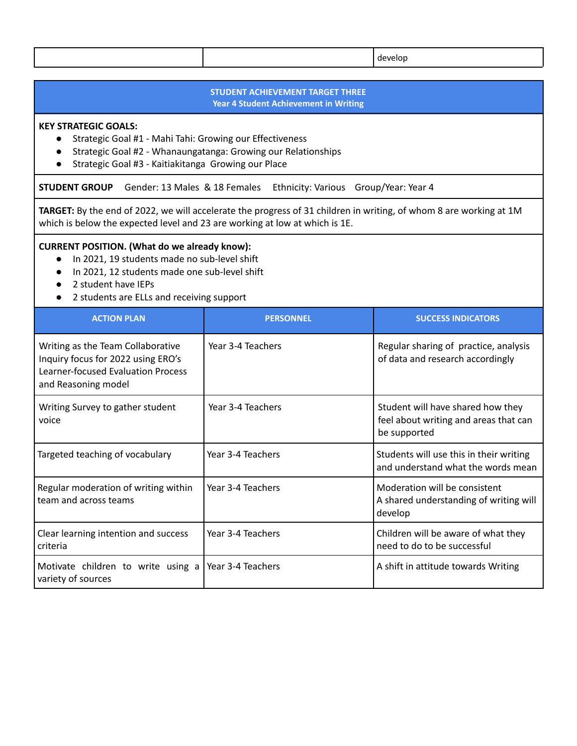#### **STUDENT ACHIEVEMENT TARGET THREE Year 4 Student Achievement in Writing**

#### **KEY STRATEGIC GOALS:**

- Strategic Goal #1 Mahi Tahi: Growing our Effectiveness
- Strategic Goal #2 Whanaungatanga: Growing our Relationships
- Strategic Goal #3 Kaitiakitanga Growing our Place

**STUDENT GROUP** Gender: 13 Males & 18 Females Ethnicity: Various Group/Year: Year 4

**TARGET:** By the end of 2022, we will accelerate the progress of 31 children in writing, of whom 8 are working at 1M which is below the expected level and 23 are working at low at which is 1E.

#### **CURRENT POSITION. (What do we already know):**

- In 2021, 19 students made no sub-level shift
- In 2021, 12 students made one sub-level shift
- 2 student have IEPs
- 2 students are ELLs and receiving support

| <b>ACTION PLAN</b>                                                                                                                          | <b>PERSONNEL</b>  | <b>SUCCESS INDICATORS</b>                                                                  |
|---------------------------------------------------------------------------------------------------------------------------------------------|-------------------|--------------------------------------------------------------------------------------------|
| Writing as the Team Collaborative<br>Inquiry focus for 2022 using ERO's<br><b>Learner-focused Evaluation Process</b><br>and Reasoning model | Year 3-4 Teachers | Regular sharing of practice, analysis<br>of data and research accordingly                  |
| Writing Survey to gather student<br>voice                                                                                                   | Year 3-4 Teachers | Student will have shared how they<br>feel about writing and areas that can<br>be supported |
| Targeted teaching of vocabulary                                                                                                             | Year 3-4 Teachers | Students will use this in their writing<br>and understand what the words mean              |
| Regular moderation of writing within<br>team and across teams                                                                               | Year 3-4 Teachers | Moderation will be consistent<br>A shared understanding of writing will<br>develop         |
| Clear learning intention and success<br>criteria                                                                                            | Year 3-4 Teachers | Children will be aware of what they<br>need to do to be successful                         |
| Motivate children to write using a<br>variety of sources                                                                                    | Year 3-4 Teachers | A shift in attitude towards Writing                                                        |